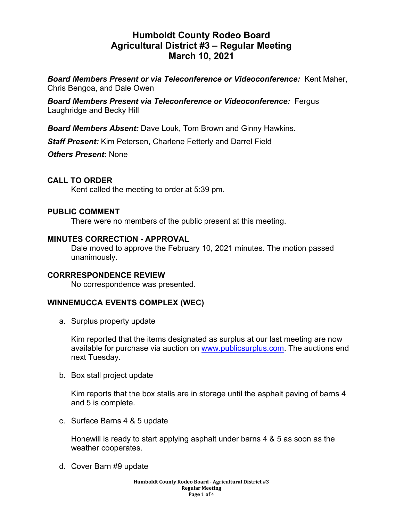# **Humboldt County Rodeo Board Agricultural District #3 – Regular Meeting March 10, 2021**

*Board Members Present or via Teleconference or Videoconference:* Kent Maher, Chris Bengoa, and Dale Owen

*Board Members Present via Teleconference or Videoconference:* Fergus Laughridge and Becky Hill

*Board Members Absent:* Dave Louk, Tom Brown and Ginny Hawkins.

*Staff Present:* Kim Petersen, Charlene Fetterly and Darrel Field

*Others Present***:** None

## **CALL TO ORDER**

Kent called the meeting to order at 5:39 pm.

### **PUBLIC COMMENT**

There were no members of the public present at this meeting.

#### **MINUTES CORRECTION - APPROVAL**

Dale moved to approve the February 10, 2021 minutes. The motion passed unanimously.

#### **CORRRESPONDENCE REVIEW**

No correspondence was presented.

## **WINNEMUCCA EVENTS COMPLEX (WEC)**

a. Surplus property update

Kim reported that the items designated as surplus at our last meeting are now available for purchase via auction on [www.publicsurplus.com.](http://www.publicsurplus.com/) The auctions end next Tuesday.

b. Box stall project update

Kim reports that the box stalls are in storage until the asphalt paving of barns 4 and 5 is complete.

c. Surface Barns 4 & 5 update

Honewill is ready to start applying asphalt under barns 4 & 5 as soon as the weather cooperates.

d. Cover Barn #9 update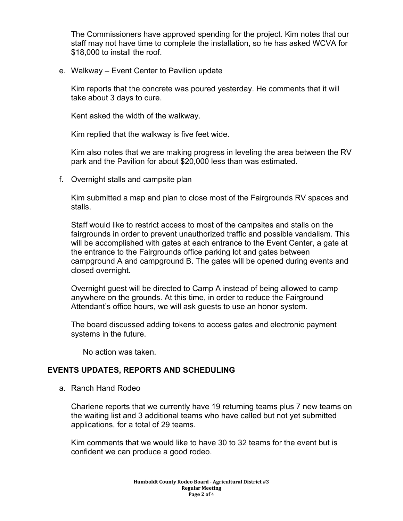The Commissioners have approved spending for the project. Kim notes that our staff may not have time to complete the installation, so he has asked WCVA for \$18,000 to install the roof.

e. Walkway – Event Center to Pavilion update

Kim reports that the concrete was poured yesterday. He comments that it will take about 3 days to cure.

Kent asked the width of the walkway.

Kim replied that the walkway is five feet wide.

Kim also notes that we are making progress in leveling the area between the RV park and the Pavilion for about \$20,000 less than was estimated.

f. Overnight stalls and campsite plan

Kim submitted a map and plan to close most of the Fairgrounds RV spaces and stalls.

Staff would like to restrict access to most of the campsites and stalls on the fairgrounds in order to prevent unauthorized traffic and possible vandalism. This will be accomplished with gates at each entrance to the Event Center, a gate at the entrance to the Fairgrounds office parking lot and gates between campground A and campground B. The gates will be opened during events and closed overnight.

Overnight guest will be directed to Camp A instead of being allowed to camp anywhere on the grounds. At this time, in order to reduce the Fairground Attendant's office hours, we will ask guests to use an honor system.

The board discussed adding tokens to access gates and electronic payment systems in the future.

No action was taken.

#### **EVENTS UPDATES, REPORTS AND SCHEDULING**

a. Ranch Hand Rodeo

Charlene reports that we currently have 19 returning teams plus 7 new teams on the waiting list and 3 additional teams who have called but not yet submitted applications, for a total of 29 teams.

Kim comments that we would like to have 30 to 32 teams for the event but is confident we can produce a good rodeo.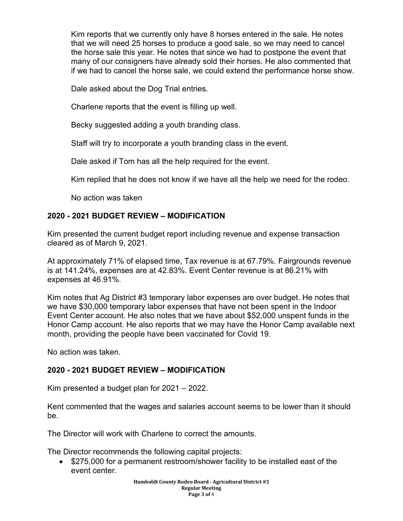Kim reports that we currently only have 8 horses entered in the sale. He notes that we will need 25 horses to produce a good sale, so we may need to cancel the horse sale this year. He notes that since we had to postpone the event that many of our consigners have already sold their horses. He also commented that if we had to cancel the horse sale, we could extend the performance horse show.

Dale asked about the Dog Trial entries.

Charlene reports that the event is filling up well.

Becky suggested adding a youth branding class.

Staff will try to incorporate a youth branding class in the event.

Dale asked if Tom has all the help required for the event.

Kim replied that he does not know if we have all the help we need for the rodeo.

No action was taken

## **2020 - 2021 BUDGET REVIEW – MODIFICATION**

Kim presented the current budget report including revenue and expense transaction cleared as of March 9, 2021.

At approximately 71% of elapsed time, Tax revenue is at 67.79%. Fairgrounds revenue is at 141.24%, expenses are at 42.83%. Event Center revenue is at 86.21% with expenses at 46.91%.

Kim notes that Ag District #3 temporary labor expenses are over budget. He notes that we have \$30,000 temporary labor expenses that have not been spent in the Indoor Event Center account. He also notes that we have about \$52,000 unspent funds in the Honor Camp account. He also reports that we may have the Honor Camp available next month, providing the people have been vaccinated for Covid 19.

No action was taken.

## **2020 - 2021 BUDGET REVIEW – MODIFICATION**

Kim presented a budget plan for 2021 – 2022.

Kent commented that the wages and salaries account seems to be lower than it should be.

The Director will work with Charlene to correct the amounts.

The Director recommends the following capital projects:

• \$275,000 for a permanent restroom/shower facility to be installed east of the event center.

> **Humboldt County Rodeo Board - Agricultural District #3 Regular Meeting Page 3 of** 4